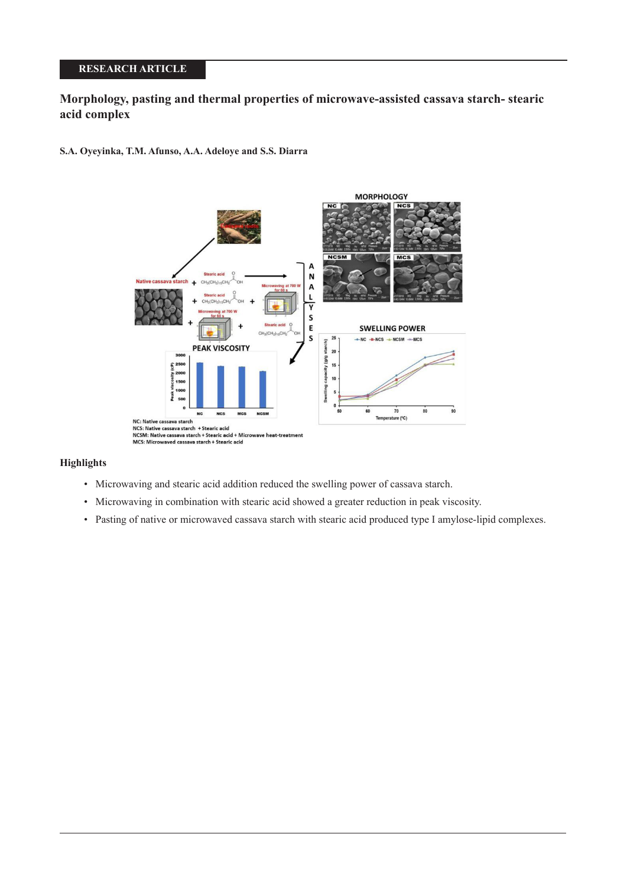# **RESEARCH ARTICLE**

# **Morphology, pasting and thermal properties of microwave-assisted cassava starch- stearic acid complex**

**S.A. Oyeyinka, T.M. Afunso, A.A. Adeloye and S.S. Diarra**



## **Highlights**

- Microwaving and stearic acid addition reduced the swelling power of cassava starch.
- Microwaving in combination with stearic acid showed a greater reduction in peak viscosity.
- Pasting of native or microwaved cassava starch with stearic acid produced type I amylose-lipid complexes.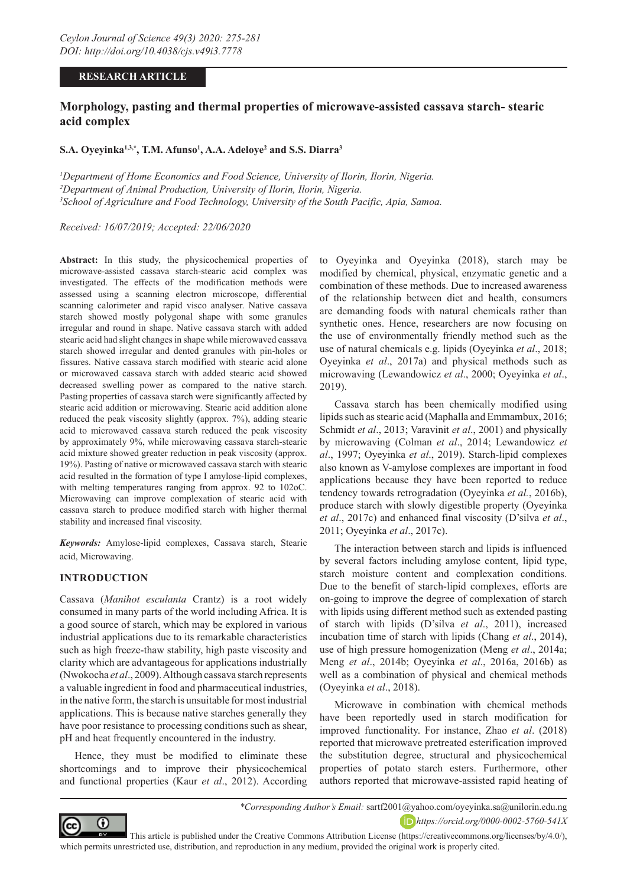### **RESEARCH ARTICLE**

# **Morphology, pasting and thermal properties of microwave-assisted cassava starch- stearic acid complex**

## **S.A. Oyeyinka1,3,\*, T.M. Afunso1 , A.A. Adeloye2 and S.S. Diarra3**

*1 Department of Home Economics and Food Science, University of Ilorin, Ilorin, Nigeria. 2 Department of Animal Production, University of Ilorin, Ilorin, Nigeria. 3 School of Agriculture and Food Technology, University of the South Pacific, Apia, Samoa.*

*Received: 16/07/2019; Accepted: 22/06/2020*

**Abstract:** In this study, the physicochemical properties of microwave-assisted cassava starch-stearic acid complex was investigated. The effects of the modification methods were assessed using a scanning electron microscope, differential scanning calorimeter and rapid visco analyser. Native cassava starch showed mostly polygonal shape with some granules irregular and round in shape. Native cassava starch with added stearic acid had slight changes in shape while microwaved cassava starch showed irregular and dented granules with pin-holes or fissures. Native cassava starch modified with stearic acid alone or microwaved cassava starch with added stearic acid showed decreased swelling power as compared to the native starch. Pasting properties of cassava starch were significantly affected by stearic acid addition or microwaving. Stearic acid addition alone reduced the peak viscosity slightly (approx. 7%), adding stearic acid to microwaved cassava starch reduced the peak viscosity by approximately 9%, while microwaving cassava starch-stearic acid mixture showed greater reduction in peak viscosity (approx. 19%). Pasting of native or microwaved cassava starch with stearic acid resulted in the formation of type I amylose-lipid complexes, with melting temperatures ranging from approx. 92 to 102oC. Microwaving can improve complexation of stearic acid with cassava starch to produce modified starch with higher thermal stability and increased final viscosity.

*Keywords:* Amylose-lipid complexes, Cassava starch, Stearic acid, Microwaving.

#### **INTRODUCTION**

Cassava (*Manihot esculanta* Crantz) is a root widely consumed in many parts of the world including Africa. It is a good source of starch, which may be explored in various industrial applications due to its remarkable characteristics such as high freeze-thaw stability, high paste viscosity and clarity which are advantageous for applications industrially (Nwokocha *et al*., 2009). Although cassava starch represents a valuable ingredient in food and pharmaceutical industries, in the native form, the starch is unsuitable for most industrial applications. This is because native starches generally they have poor resistance to processing conditions such as shear, pH and heat frequently encountered in the industry.

Hence, they must be modified to eliminate these shortcomings and to improve their physicochemical and functional properties (Kaur *et al*., 2012). According

to Oyeyinka and Oyeyinka (2018), starch may be modified by chemical, physical, enzymatic genetic and a combination of these methods. Due to increased awareness of the relationship between diet and health, consumers are demanding foods with natural chemicals rather than synthetic ones. Hence, researchers are now focusing on the use of environmentally friendly method such as the use of natural chemicals e.g. lipids (Oyeyinka *et al*., 2018; Oyeyinka *et al*., 2017a) and physical methods such as microwaving (Lewandowicz *et al*., 2000; Oyeyinka *et al*., 2019).

Cassava starch has been chemically modified using lipids such as stearic acid (Maphalla and Emmambux, 2016; Schmidt *et al*., 2013; Varavinit *et al*., 2001) and physically by microwaving (Colman *et al*., 2014; Lewandowicz *et al*., 1997; Oyeyinka *et al*., 2019). Starch-lipid complexes also known as V-amylose complexes are important in food applications because they have been reported to reduce tendency towards retrogradation (Oyeyinka *et al.*, 2016b), produce starch with slowly digestible property (Oyeyinka *et al*., 2017c) and enhanced final viscosity (D'silva *et al*., 2011; Oyeyinka *et al*., 2017c).

The interaction between starch and lipids is influenced by several factors including amylose content, lipid type, starch moisture content and complexation conditions. Due to the benefit of starch-lipid complexes, efforts are on-going to improve the degree of complexation of starch with lipids using different method such as extended pasting of starch with lipids (D'silva *et al*., 2011), increased incubation time of starch with lipids (Chang *et al*., 2014), use of high pressure homogenization (Meng *et al*., 2014a; Meng *et al*., 2014b; Oyeyinka *et al*., 2016a, 2016b) as well as a combination of physical and chemical methods (Oyeyinka *et al*., 2018).

Microwave in combination with chemical methods have been reportedly used in starch modification for improved functionality. For instance, Zhao *et al*. (2018) reported that microwave pretreated esterification improved the substitution degree, structural and physicochemical properties of potato starch esters. Furthermore, other authors reported that microwave-assisted rapid heating of



 This article is published under the Creative Commons Attribution License (https://creativecommons.org/licenses/by/4.0/), which permits unrestricted use, distribution, and reproduction in any medium, provided the original work is properly cited.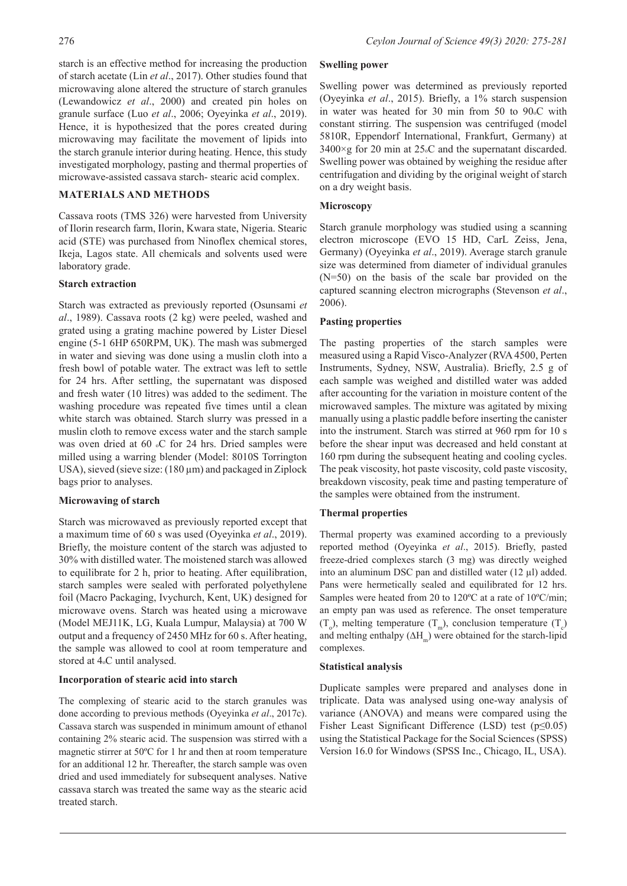starch is an effective method for increasing the production of starch acetate (Lin *et al*., 2017). Other studies found that microwaving alone altered the structure of starch granules (Lewandowicz *et al*., 2000) and created pin holes on granule surface (Luo *et al*., 2006; Oyeyinka *et al*., 2019). Hence, it is hypothesized that the pores created during microwaving may facilitate the movement of lipids into the starch granule interior during heating. Hence, this study investigated morphology, pasting and thermal properties of microwave-assisted cassava starch- stearic acid complex.

# **MATERIALS AND METHODS**

Cassava roots (TMS 326) were harvested from University of Ilorin research farm, Ilorin, Kwara state, Nigeria. Stearic acid (STE) was purchased from Ninoflex chemical stores, Ikeja, Lagos state. All chemicals and solvents used were laboratory grade.

### **Starch extraction**

Starch was extracted as previously reported (Osunsami *et al*., 1989). Cassava roots (2 kg) were peeled, washed and grated using a grating machine powered by Lister Diesel engine (5-1 6HP 650RPM, UK). The mash was submerged in water and sieving was done using a muslin cloth into a fresh bowl of potable water. The extract was left to settle for 24 hrs. After settling, the supernatant was disposed and fresh water (10 litres) was added to the sediment. The washing procedure was repeated five times until a clean white starch was obtained. Starch slurry was pressed in a muslin cloth to remove excess water and the starch sample was oven dried at 60 °C for 24 hrs. Dried samples were milled using a warring blender (Model: 8010S Torrington USA), sieved (sieve size: (180 µm) and packaged in Ziplock bags prior to analyses.

## **Microwaving of starch**

Starch was microwaved as previously reported except that a maximum time of 60 s was used (Oyeyinka *et al*., 2019). Briefly, the moisture content of the starch was adjusted to 30% with distilled water. The moistened starch was allowed to equilibrate for 2 h, prior to heating. After equilibration, starch samples were sealed with perforated polyethylene foil (Macro Packaging, Ivychurch, Kent, UK) designed for microwave ovens. Starch was heated using a microwave (Model MEJ11K, LG, Kuala Lumpur, Malaysia) at 700 W output and a frequency of 2450 MHz for 60 s. After heating, the sample was allowed to cool at room temperature and stored at 4oC until analysed.

#### **Incorporation of stearic acid into starch**

The complexing of stearic acid to the starch granules was done according to previous methods (Oyeyinka *et al*., 2017c). Cassava starch was suspended in minimum amount of ethanol containing 2% stearic acid. The suspension was stirred with a magnetic stirrer at 50ºC for 1 hr and then at room temperature for an additional 12 hr. Thereafter, the starch sample was oven dried and used immediately for subsequent analyses. Native cassava starch was treated the same way as the stearic acid treated starch.

#### **Swelling power**

Swelling power was determined as previously reported (Oyeyinka *et al*., 2015). Briefly, a 1% starch suspension in water was heated for 30 min from 50 to 90oC with constant stirring. The suspension was centrifuged (model 5810R, Eppendorf International, Frankfurt, Germany) at  $3400 \times g$  for 20 min at 25. C and the supernatant discarded. Swelling power was obtained by weighing the residue after centrifugation and dividing by the original weight of starch on a dry weight basis.

### **Microscopy**

Starch granule morphology was studied using a scanning electron microscope (EVO 15 HD, CarL Zeiss, Jena, Germany) (Oyeyinka *et al*., 2019). Average starch granule size was determined from diameter of individual granules (N=50) on the basis of the scale bar provided on the captured scanning electron micrographs (Stevenson *et al*., 2006).

### **Pasting properties**

The pasting properties of the starch samples were measured using a Rapid Visco-Analyzer (RVA 4500, Perten Instruments, Sydney, NSW, Australia). Briefly, 2.5 g of each sample was weighed and distilled water was added after accounting for the variation in moisture content of the microwaved samples. The mixture was agitated by mixing manually using a plastic paddle before inserting the canister into the instrument. Starch was stirred at 960 rpm for 10 s before the shear input was decreased and held constant at 160 rpm during the subsequent heating and cooling cycles. The peak viscosity, hot paste viscosity, cold paste viscosity, breakdown viscosity, peak time and pasting temperature of the samples were obtained from the instrument.

## **Thermal properties**

Thermal property was examined according to a previously reported method (Oyeyinka *et al*., 2015). Briefly, pasted freeze-dried complexes starch (3 mg) was directly weighed into an aluminum DSC pan and distilled water (12 µl) added. Pans were hermetically sealed and equilibrated for 12 hrs. Samples were heated from 20 to 120ºC at a rate of 10ºC/min; an empty pan was used as reference. The onset temperature  $(T_0)$ , melting temperature  $(T_m)$ , conclusion temperature  $(T_c)$ and melting enthalpy  $(\Delta H_m)$  were obtained for the starch-lipid complexes.

#### **Statistical analysis**

Duplicate samples were prepared and analyses done in triplicate. Data was analysed using one-way analysis of variance (ANOVA) and means were compared using the Fisher Least Significant Difference (LSD) test (p≤0.05) using the Statistical Package for the Social Sciences (SPSS) Version 16.0 for Windows (SPSS Inc., Chicago, IL, USA).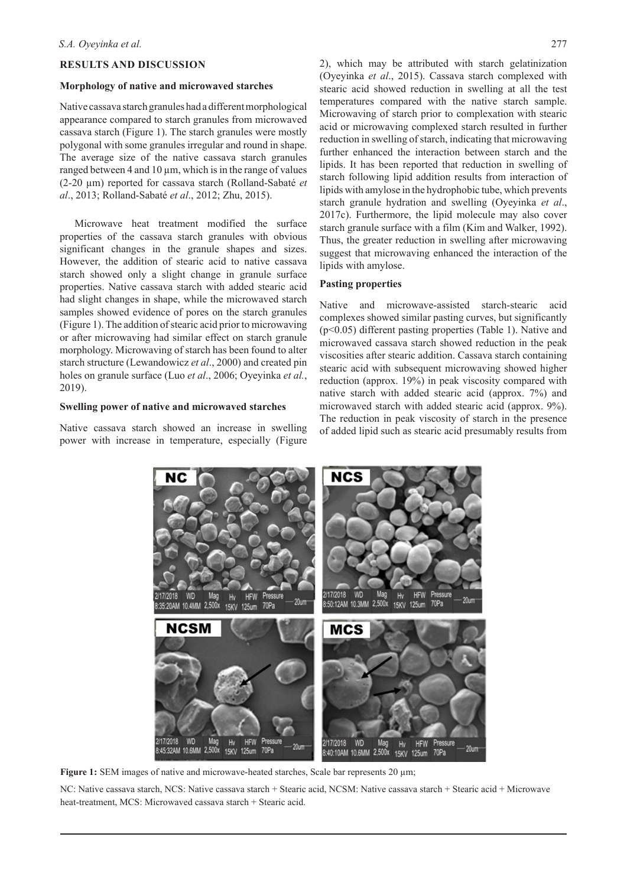### **RESULTS AND DISCUSSION**

#### **Morphology of native and microwaved starches**

Native cassava starch granules had a different morphological appearance compared to starch granules from microwaved cassava starch (Figure 1). The starch granules were mostly polygonal with some granules irregular and round in shape. The average size of the native cassava starch granules ranged between 4 and 10  $\mu$ m, which is in the range of values (2-20 µm) reported for cassava starch (Rolland-Sabaté *et al*., 2013; Rolland-Sabaté *et al*., 2012; Zhu, 2015).

Microwave heat treatment modified the surface properties of the cassava starch granules with obvious significant changes in the granule shapes and sizes. However, the addition of stearic acid to native cassava starch showed only a slight change in granule surface properties. Native cassava starch with added stearic acid had slight changes in shape, while the microwaved starch samples showed evidence of pores on the starch granules (Figure 1). The addition of stearic acid prior to microwaving or after microwaving had similar effect on starch granule morphology. Microwaving of starch has been found to alter starch structure (Lewandowicz *et al*., 2000) and created pin holes on granule surface (Luo *et al*., 2006; Oyeyinka *et al.*, 2019).

#### **Swelling power of native and microwaved starches**

Native cassava starch showed an increase in swelling power with increase in temperature, especially (Figure 2), which may be attributed with starch gelatinization (Oyeyinka *et al*., 2015). Cassava starch complexed with stearic acid showed reduction in swelling at all the test temperatures compared with the native starch sample. Microwaving of starch prior to complexation with stearic acid or microwaving complexed starch resulted in further reduction in swelling of starch, indicating that microwaving further enhanced the interaction between starch and the lipids. It has been reported that reduction in swelling of starch following lipid addition results from interaction of lipids with amylose in the hydrophobic tube, which prevents starch granule hydration and swelling (Oyeyinka *et al*., 2017c). Furthermore, the lipid molecule may also cover starch granule surface with a film (Kim and Walker, 1992). Thus, the greater reduction in swelling after microwaving suggest that microwaving enhanced the interaction of the lipids with amylose.

# **Pasting properties**

Native and microwave-assisted starch-stearic acid complexes showed similar pasting curves, but significantly (p<0.05) different pasting properties (Table 1). Native and microwaved cassava starch showed reduction in the peak viscosities after stearic addition. Cassava starch containing stearic acid with subsequent microwaving showed higher reduction (approx. 19%) in peak viscosity compared with native starch with added stearic acid (approx. 7%) and microwaved starch with added stearic acid (approx. 9%). The reduction in peak viscosity of starch in the presence of added lipid such as stearic acid presumably results from



**Figure 1:** SEM images of native and microwave-heated starches, Scale bar represents 20  $\mu$ m;

NC: Native cassava starch, NCS: Native cassava starch + Stearic acid, NCSM: Native cassava starch + Stearic acid + Microwave heat-treatment, MCS: Microwaved cassava starch + Stearic acid.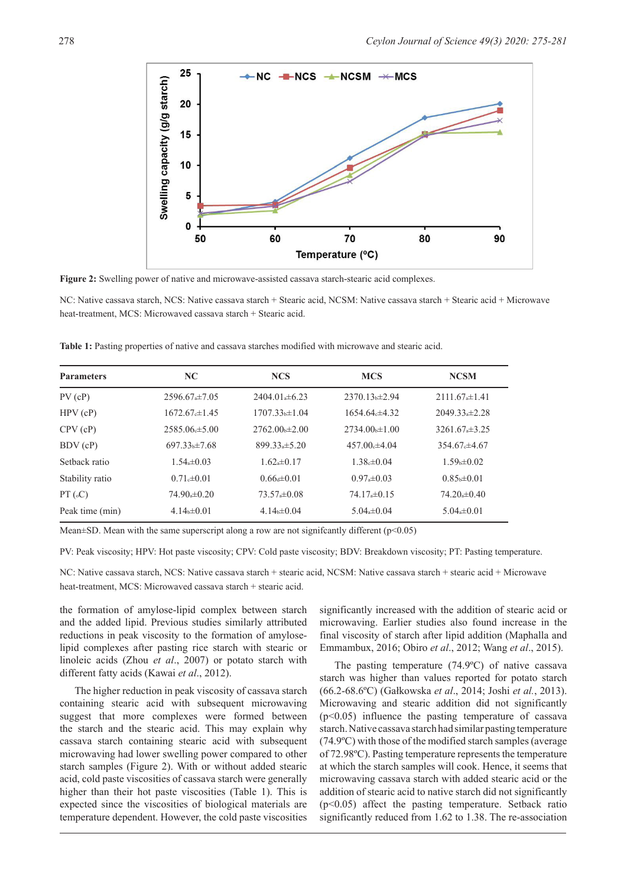

**Figure 2:** Swelling power of native and microwave-assisted cassava starch-stearic acid complexes.

NC: Native cassava starch, NCS: Native cassava starch + Stearic acid, NCSM: Native cassava starch + Stearic acid + Microwave heat-treatment, MCS: Microwaved cassava starch + Stearic acid.

|  |  |  |  |  |  |  |  |  |  | Table 1: Pasting properties of native and cassava starches modified with microwave and stearic acid. |  |  |
|--|--|--|--|--|--|--|--|--|--|------------------------------------------------------------------------------------------------------|--|--|
|--|--|--|--|--|--|--|--|--|--|------------------------------------------------------------------------------------------------------|--|--|

| <b>Parameters</b> | NC.                | <b>NCS</b>         | <b>MCS</b>                   | <b>NCSM</b>        |
|-------------------|--------------------|--------------------|------------------------------|--------------------|
| $PV$ (cP)         | $2596.67 \pm 7.05$ | $2404.01 + 6.23$   | $2370.13 h\pm 2.94$          | $2111.67 \pm 1.41$ |
| HPV(cP)           | $1672.67 \pm 1.45$ | $1707.33 + 1.04$   | $1654.64 \pm 4.32$           | $2049.33 \pm 2.28$ |
| CPV(cP)           | $2585.06 \pm 5.00$ | $2762.00 \pm 2.00$ | $2734.00 \text{ h} \pm 1.00$ | $3261.67 \pm 3.25$ |
| BDV(cP)           | $697.33 \pm 7.68$  | $899.33 \pm 5.20$  | $457.00 \pm 4.04$            | $354.67 \pm 4.67$  |
| Sethack ratio     | $1.54 \pm 0.03$    | $1.62*10.17$       | $1.38 \pm 0.04$              | $1.59b \pm 0.02$   |
| Stability ratio   | $0.71 \pm 0.01$    | $0.66 \pm 0.01$    | $0.97*+0.03$                 | $0.85 + 0.01$      |
| PT(GC)            | $74.90 \pm 0.20$   | $73.57 \pm 0.08$   | $74.17 \pm 0.15$             | $74.20 \pm 0.40$   |
| Peak time (min)   | $4.14 \pm 0.01$    | $4.14 \pm 0.04$    | $5.04 \pm 0.04$              | $5.04 \pm 0.01$    |

Mean $\pm$ SD. Mean with the same superscript along a row are not significantly different ( $p$ <0.05)

PV: Peak viscosity; HPV: Hot paste viscosity; CPV: Cold paste viscosity; BDV: Breakdown viscosity; PT: Pasting temperature.

NC: Native cassava starch, NCS: Native cassava starch + stearic acid, NCSM: Native cassava starch + stearic acid + Microwave heat-treatment, MCS: Microwaved cassava starch + stearic acid.

the formation of amylose-lipid complex between starch and the added lipid. Previous studies similarly attributed reductions in peak viscosity to the formation of amyloselipid complexes after pasting rice starch with stearic or linoleic acids (Zhou *et al*., 2007) or potato starch with different fatty acids (Kawai *et al*., 2012).

The higher reduction in peak viscosity of cassava starch containing stearic acid with subsequent microwaving suggest that more complexes were formed between the starch and the stearic acid. This may explain why cassava starch containing stearic acid with subsequent microwaving had lower swelling power compared to other starch samples (Figure 2). With or without added stearic acid, cold paste viscosities of cassava starch were generally higher than their hot paste viscosities (Table 1). This is expected since the viscosities of biological materials are temperature dependent. However, the cold paste viscosities

significantly increased with the addition of stearic acid or microwaving. Earlier studies also found increase in the final viscosity of starch after lipid addition (Maphalla and Emmambux, 2016; Obiro *et al*., 2012; Wang *et al*., 2015).

The pasting temperature (74.9ºC) of native cassava starch was higher than values reported for potato starch (66.2-68.6ºC) (Gałkowska *et al*., 2014; Joshi *et al.*, 2013). Microwaving and stearic addition did not significantly (p<0.05) influence the pasting temperature of cassava starch. Native cassava starch had similar pasting temperature (74.9ºC) with those of the modified starch samples (average of 72.98ºC). Pasting temperature represents the temperature at which the starch samples will cook. Hence, it seems that microwaving cassava starch with added stearic acid or the addition of stearic acid to native starch did not significantly (p<0.05) affect the pasting temperature. Setback ratio significantly reduced from 1.62 to 1.38. The re-association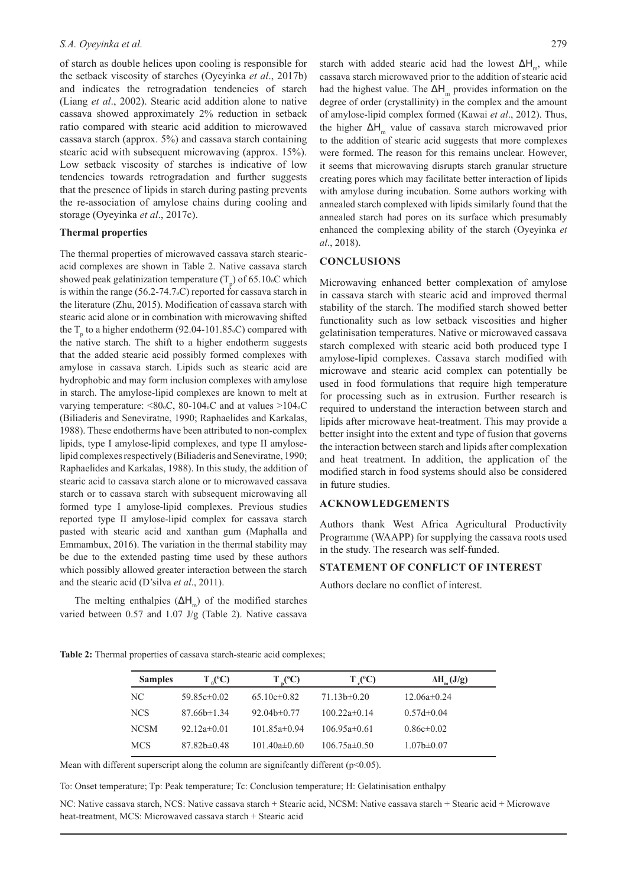#### *S.A. Oyeyinka et al.* 279

of starch as double helices upon cooling is responsible for the setback viscosity of starches (Oyeyinka *et al*., 2017b) and indicates the retrogradation tendencies of starch (Liang *et al*., 2002). Stearic acid addition alone to native cassava showed approximately 2% reduction in setback ratio compared with stearic acid addition to microwaved cassava starch (approx. 5%) and cassava starch containing stearic acid with subsequent microwaving (approx. 15%). Low setback viscosity of starches is indicative of low tendencies towards retrogradation and further suggests that the presence of lipids in starch during pasting prevents the re-association of amylose chains during cooling and storage (Oyeyinka *et al*., 2017c).

#### **Thermal properties**

The thermal properties of microwaved cassava starch stearicacid complexes are shown in Table 2. Native cassava starch showed peak gelatinization temperature  $(T_p)$  of 65.10° which is within the range (56.2-74.7oC) reported for cassava starch in the literature (Zhu, 2015). Modification of cassava starch with stearic acid alone or in combination with microwaving shifted the  $T_{p}$  to a higher endotherm (92.04-101.85.C) compared with the native starch. The shift to a higher endotherm suggests that the added stearic acid possibly formed complexes with amylose in cassava starch. Lipids such as stearic acid are hydrophobic and may form inclusion complexes with amylose in starch. The amylose-lipid complexes are known to melt at varying temperature: <80.c, 80-104.c and at values >104.c (Biliaderis and Seneviratne, 1990; Raphaelides and Karkalas, 1988). These endotherms have been attributed to non-complex lipids, type I amylose-lipid complexes, and type II amyloselipid complexes respectively (Biliaderis and Seneviratne, 1990; Raphaelides and Karkalas, 1988). In this study, the addition of stearic acid to cassava starch alone or to microwaved cassava starch or to cassava starch with subsequent microwaving all formed type I amylose-lipid complexes. Previous studies reported type II amylose-lipid complex for cassava starch pasted with stearic acid and xanthan gum (Maphalla and Emmambux, 2016). The variation in the thermal stability may be due to the extended pasting time used by these authors which possibly allowed greater interaction between the starch and the stearic acid (D'silva *et al*., 2011).

The melting enthalpies  $(ΔH<sub>m</sub>)$  of the modified starches varied between 0.57 and 1.07 J/g (Table 2). Native cassava

starch with added stearic acid had the lowest  $\Delta H_{m}$ , while cassava starch microwaved prior to the addition of stearic acid had the highest value. The  $\Delta H_m$  provides information on the degree of order (crystallinity) in the complex and the amount of amylose-lipid complex formed (Kawai *et al*., 2012). Thus, the higher ΔH<sub>m</sub> value of cassava starch microwaved prior to the addition of stearic acid suggests that more complexes were formed. The reason for this remains unclear. However, it seems that microwaving disrupts starch granular structure creating pores which may facilitate better interaction of lipids with amylose during incubation. Some authors working with annealed starch complexed with lipids similarly found that the annealed starch had pores on its surface which presumably enhanced the complexing ability of the starch (Oyeyinka *et al*., 2018).

### **CONCLUSIONS**

Microwaving enhanced better complexation of amylose in cassava starch with stearic acid and improved thermal stability of the starch. The modified starch showed better functionality such as low setback viscosities and higher gelatinisation temperatures. Native or microwaved cassava starch complexed with stearic acid both produced type I amylose-lipid complexes. Cassava starch modified with microwave and stearic acid complex can potentially be used in food formulations that require high temperature for processing such as in extrusion. Further research is required to understand the interaction between starch and lipids after microwave heat-treatment. This may provide a better insight into the extent and type of fusion that governs the interaction between starch and lipids after complexation and heat treatment. In addition, the application of the modified starch in food systems should also be considered in future studies.

### **ACKNOWLEDGEMENTS**

Authors thank West Africa Agricultural Productivity Programme (WAAPP) for supplying the cassava roots used in the study. The research was self-funded.

#### **STATEMENT OF CONFLICT OF INTEREST**

Authors declare no conflict of interest.

| <b>Samples</b> | $T_{0}^{\circ}$ (°C) | $T_{n}^{\circ}$ (°C) | $T_{c}(^{\circ}C)$ | $\Delta H_{m}(J/g)$ |
|----------------|----------------------|----------------------|--------------------|---------------------|
| NС             | 59.85 $c\pm0.02$     | $65.10c\pm0.82$      | $71.13b \pm 0.20$  | $12.06a \pm 0.24$   |
| <b>NCS</b>     | $87.66b \pm 1.34$    | $92.04b \pm 0.77$    | $100.22a \pm 0.14$ | $0.57d \pm 0.04$    |
| <b>NCSM</b>    | 92.12a $\pm$ 0.01    | $101.85a \pm 0.94$   | $106.95a \pm 0.61$ | $0.86c \pm 0.02$    |
| <b>MCS</b>     | $87.82b \pm 0.48$    | 101.40a $\pm$ 0.60   | $106.75a \pm 0.50$ | $1.07b \pm 0.07$    |

**Table 2:** Thermal properties of cassava starch-stearic acid complexes;

Mean with different superscript along the column are significantly different (p<0.05).

To: Onset temperature; Tp: Peak temperature; Tc: Conclusion temperature; H: Gelatinisation enthalpy

NC: Native cassava starch, NCS: Native cassava starch + Stearic acid, NCSM: Native cassava starch + Stearic acid + Microwave heat-treatment, MCS: Microwaved cassava starch + Stearic acid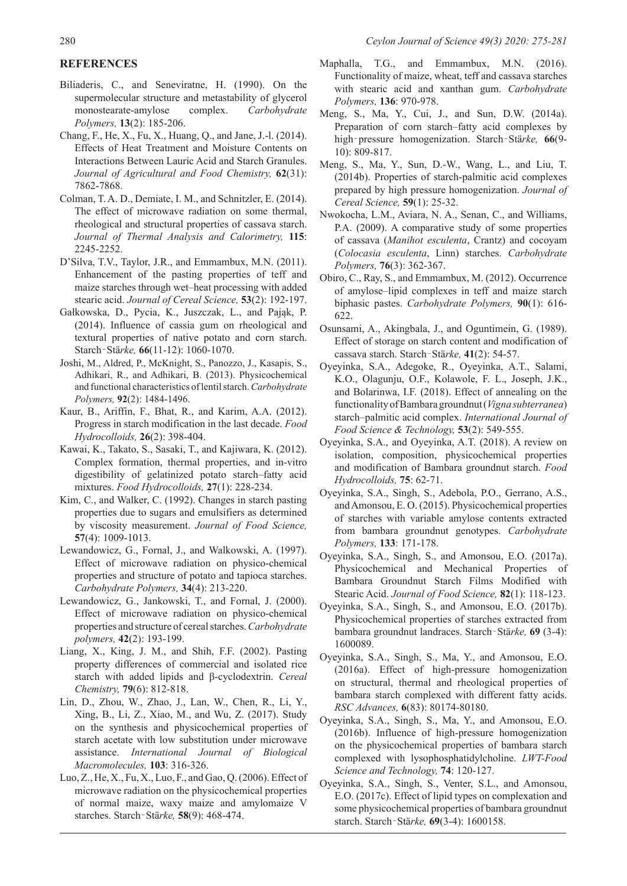# **REFERENCES**

- Biliaderis, C., and Seneviratne, H. (1990). On the supermolecular structure and metastability of glycerol monostearate-amylose complex. *Carbohydrate Polymers,* **13**(2): 185-206.
- Chang, F., He, X., Fu, X., Huang, Q., and Jane, J.-l. (2014). Effects of Heat Treatment and Moisture Contents on Interactions Between Lauric Acid and Starch Granules. *Journal of Agricultural and Food Chemistry,* **62**(31): 7862-7868.
- Colman, T. A. D., Demiate, I. M., and Schnitzler, E. (2014). The effect of microwave radiation on some thermal, rheological and structural properties of cassava starch. *Journal of Thermal Analysis and Calorimetry,* **115**: 2245-2252.
- D'Silva, T.V., Taylor, J.R., and Emmambux, M.N. (2011). Enhancement of the pasting properties of teff and maize starches through wet–heat processing with added stearic acid. *Journal of Cereal Science,* **53**(2): 192-197.
- Gałkowska, D., Pycia, K., Juszczak, L., and Pająk, P. (2014). Influence of cassia gum on rheological and textural properties of native potato and corn starch. Starch‐Stä*rke,* **66**(11-12): 1060-1070.
- Joshi, M., Aldred, P., McKnight, S., Panozzo, J., Kasapis, S., Adhikari, R., and Adhikari, B. (2013). Physicochemical and functional characteristics of lentil starch. *Carbohydrate Polymers,* **92**(2): 1484-1496.
- Kaur, B., Ariffin, F., Bhat, R., and Karim, A.A. (2012). Progress in starch modification in the last decade. *Food Hydrocolloids,* **26**(2): 398-404.
- Kawai, K., Takato, S., Sasaki, T., and Kajiwara, K. (2012). Complex formation, thermal properties, and in-vitro digestibility of gelatinized potato starch–fatty acid mixtures. *Food Hydrocolloids,* **27**(1): 228-234.
- Kim, C., and Walker, C. (1992). Changes in starch pasting properties due to sugars and emulsifiers as determined by viscosity measurement. *Journal of Food Science,* **57**(4): 1009-1013.
- Lewandowicz, G., Fornal, J., and Walkowski, A. (1997). Effect of microwave radiation on physico-chemical properties and structure of potato and tapioca starches. *Carbohydrate Polymers,* **34**(4): 213-220.
- Lewandowicz, G., Jankowski, T., and Fornal, J. (2000). Effect of microwave radiation on physico-chemical properties and structure of cereal starches. *Carbohydrate polymers,* **42**(2): 193-199.
- Liang, X., King, J. M., and Shih, F.F. (2002). Pasting property differences of commercial and isolated rice starch with added lipids and β-cyclodextrin. *Cereal Chemistry,* **79**(6): 812-818.
- Lin, D., Zhou, W., Zhao, J., Lan, W., Chen, R., Li, Y., Xing, B., Li, Z., Xiao, M., and Wu, Z. (2017). Study on the synthesis and physicochemical properties of starch acetate with low substitution under microwave assistance. *International Journal of Biological Macromolecules,* **103**: 316-326.
- Luo, Z., He, X., Fu, X., Luo, F., and Gao, Q. (2006). Effect of microwave radiation on the physicochemical properties of normal maize, waxy maize and amylomaize V starches. Starch‐Stä*rke,* **58**(9): 468-474.
- Maphalla, T.G., and Emmambux, M.N. (2016). Functionality of maize, wheat, teff and cassava starches with stearic acid and xanthan gum. *Carbohydrate Polymers,* **136**: 970-978.
- Meng, S., Ma, Y., Cui, J., and Sun, D.W. (2014a). Preparation of corn starch–fatty acid complexes by high‐pressure homogenization. Starch‐Stä*rke,* **66**(9- 10): 809-817.
- Meng, S., Ma, Y., Sun, D.-W., Wang, L., and Liu, T. (2014b). Properties of starch-palmitic acid complexes prepared by high pressure homogenization. *Journal of Cereal Science,* **59**(1): 25-32.
- Nwokocha, L.M., Aviara, N. A., Senan, C., and Williams, P.A. (2009). A comparative study of some properties of cassava (*Manihot esculenta*, Crantz) and cocoyam (*Colocasia esculenta*, Linn) starches. *Carbohydrate Polymers,* **76**(3): 362-367.
- Obiro, C., Ray, S., and Emmambux, M. (2012). Occurrence of amylose–lipid complexes in teff and maize starch biphasic pastes. *Carbohydrate Polymers,* **90**(1): 616- 622.
- Osunsami, A., Akingbala, J., and Oguntimein, G. (1989). Effect of storage on starch content and modification of cassava starch. Starch‐Stä*rke,* **41**(2): 54-57.
- Oyeyinka, S.A., Adegoke, R., Oyeyinka, A.T., Salami, K.O., Olagunju, O.F., Kolawole, F. L., Joseph, J.K., and Bolarinwa, I.F. (2018). Effect of annealing on the functionality of Bambara groundnut (*Vigna subterranea*) starch–palmitic acid complex. *International Journal of Food Science & Technology,* **53**(2): 549-555.
- Oyeyinka, S.A., and Oyeyinka, A.T. (2018). A review on isolation, composition, physicochemical properties and modification of Bambara groundnut starch. *Food Hydrocolloids,* **75**: 62-71.
- Oyeyinka, S.A., Singh, S., Adebola, P.O., Gerrano, A.S., and Amonsou, E. O. (2015). Physicochemical properties of starches with variable amylose contents extracted from bambara groundnut genotypes. *Carbohydrate Polymers,* **133**: 171-178.
- Oyeyinka, S.A., Singh, S., and Amonsou, E.O. (2017a). Physicochemical and Mechanical Properties of Bambara Groundnut Starch Films Modified with Stearic Acid. *Journal of Food Science,* **82**(1): 118-123.
- Oyeyinka, S.A., Singh, S., and Amonsou, E.O. (2017b). Physicochemical properties of starches extracted from bambara groundnut landraces. Starch‐Stä*rke,* **69** (3-4): 1600089.
- Oyeyinka, S.A., Singh, S., Ma, Y., and Amonsou, E.O. (2016a). Effect of high-pressure homogenization on structural, thermal and rheological properties of bambara starch complexed with different fatty acids. *RSC Advances,* **6**(83): 80174-80180.
- Oyeyinka, S.A., Singh, S., Ma, Y., and Amonsou, E.O. (2016b). Influence of high-pressure homogenization on the physicochemical properties of bambara starch complexed with lysophosphatidylcholine. *LWT-Food Science and Technology,* **74**: 120-127.
- Oyeyinka, S.A., Singh, S., Venter, S.L., and Amonsou, E.O. (2017c). Effect of lipid types on complexation and some physicochemical properties of bambara groundnut starch. Starch‐Stä*rke,* **69**(3-4): 1600158.